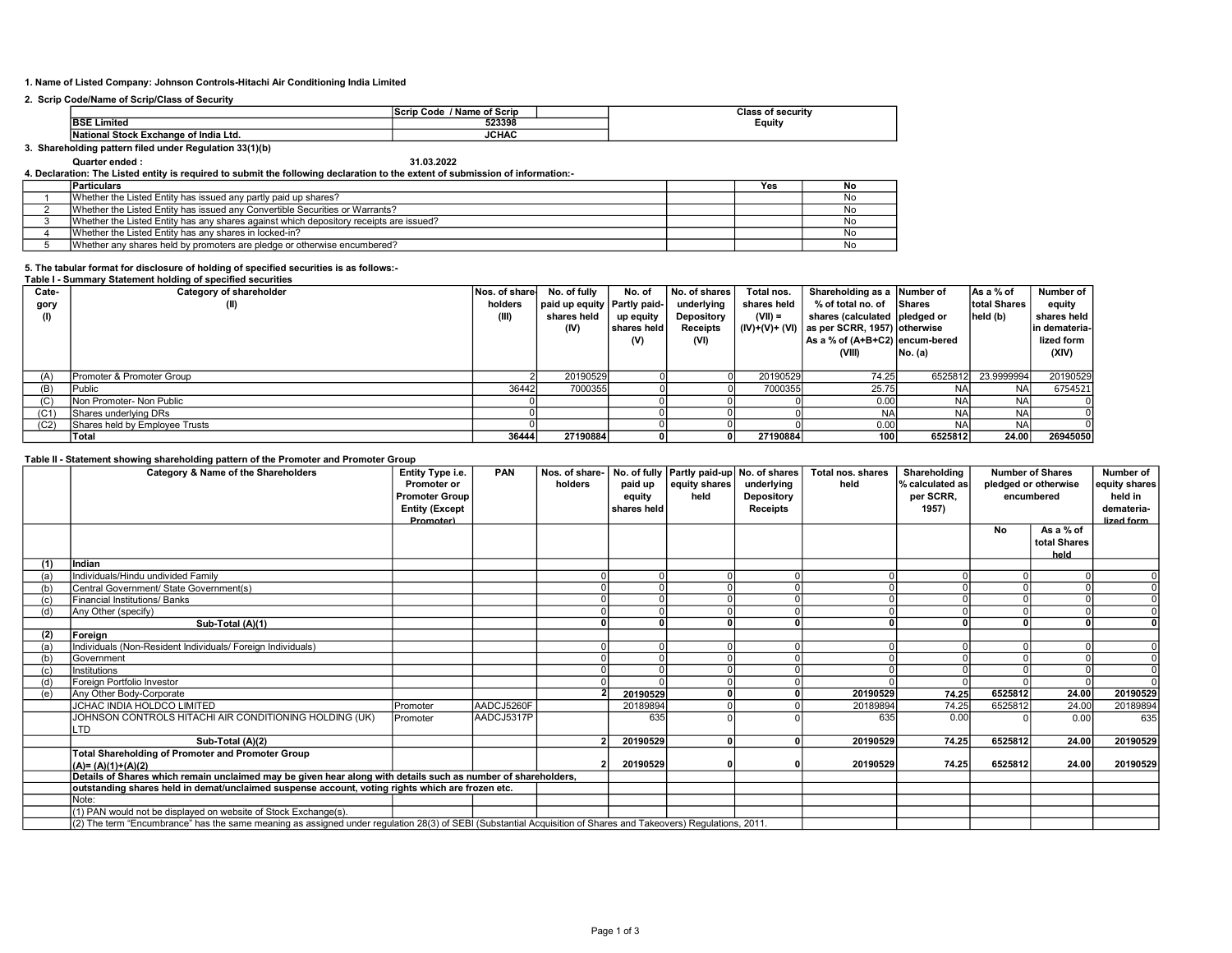## 1. Name of Listed Company: Johnson Controls-Hitachi Air Conditioning India Limited

## 2. Scrip Code/Name of Scrip/Class of Security

|                               | / Name of Scrip<br>⊦Code<br>Scrip | ecurii<br>лаз    |
|-------------------------------|-----------------------------------|------------------|
| 10e1<br>. .<br>Limited        | 523398                            | Equity<br>$\sim$ |
| l Stock Exchang<br>Ltd<br>ona | 101<br>JCHA                       |                  |

#### 3. Shareholding pattern filed under Regulation 33(1)(b)

## Quarter ended : 31.03.2022 4. Declaration: The Listed entity is required to submit the following declaration to the extent of submission of information:-

| <b>Particulars</b>                                                                     | Yes | . No      |
|----------------------------------------------------------------------------------------|-----|-----------|
| Whether the Listed Entity has issued any partly paid up shares?                        |     | Νo        |
| Whether the Listed Entity has issued any Convertible Securities or Warrants?           |     | N0        |
| Whether the Listed Entity has any shares against which depository receipts are issued? |     | N.        |
| Whether the Listed Entity has any shares in locked-in?                                 |     | <b>NC</b> |
| Whether any shares held by promoters are pledge or otherwise encumbered?               |     |           |

# 5. The tabular format for disclosure of holding of specified securities is as follows:- Table I - Summary Statement holding of specified securities

| Cate- | Category of shareholder        | Nos. of share | No. of fully                  | No. of                | No. of shares I   | Total nos.  | Shareholding as a Number of                |            | As a % of            | Number of       |
|-------|--------------------------------|---------------|-------------------------------|-----------------------|-------------------|-------------|--------------------------------------------|------------|----------------------|-----------------|
| gory  | (II)                           | holders       | paid up equity   Partly paid- |                       | underlying        | shares held | % of total no. of Shares                   |            | <b>Itotal Shares</b> | equity          |
|       |                                | (III)         | shares held                   | up equity             | <b>Depository</b> | $(VII) =$   | shares (calculated   pledged or            |            | held (b)             | shares held     |
|       |                                |               | (IV)                          | <b>Ishares held I</b> | Receipts          |             | $(N)+(V)+(V)$ as per SCRR, 1957) otherwise |            |                      | lin demateria-l |
|       |                                |               |                               | (V)                   | (VI)              |             | As a % of (A+B+C2) encum-bered             |            |                      | lized form      |
|       |                                |               |                               |                       |                   |             | (VIII)                                     | No. (a)    |                      | (XIV)           |
|       |                                |               |                               |                       |                   |             |                                            |            |                      |                 |
| (A)   | Promoter & Promoter Group      |               | 20190529                      |                       |                   | 20190529    | 74.25                                      | 6525812    | 23.9999994           | 20190529        |
| (B)   | Public                         | 36442         | 7000355                       |                       |                   | 7000355     | 25.75                                      | <b>NA</b>  | <b>NA</b>            | 6754521         |
| (C)   | Non Promoter- Non Public       |               |                               |                       |                   |             | 0.00                                       | <b>NAI</b> | <b>NAI</b>           |                 |
| (C1)  | Shares underlying DRs          |               |                               |                       |                   |             | NA                                         | <b>NA</b>  | <b>NA</b>            |                 |
| (C2)  | Shares held by Employee Trusts |               |                               |                       |                   |             | 0.00                                       | <b>NA</b>  | <b>NA</b>            |                 |
|       | lTotal                         | 36444         | 27190884                      |                       |                   | 27190884    | 100 <sub>1</sub>                           | 6525812    | 24.00                | 26945050        |

## Table II - Statement showing shareholding pattern of the Promoter and Promoter Group

|     | Category & Name of the Shareholders                                                                                                                             | Entity Type i.e.<br>Promoter or           | PAN        | Nos. of share-<br>holders | paid up     | No. of fully Partly paid-up No. of shares<br>equity shares | underlying      | Total nos. shares<br>held | Shareholding<br>% calculated as | <b>Number of Shares</b><br>pledged or otherwise |                      | Number of<br>equity shares |
|-----|-----------------------------------------------------------------------------------------------------------------------------------------------------------------|-------------------------------------------|------------|---------------------------|-------------|------------------------------------------------------------|-----------------|---------------------------|---------------------------------|-------------------------------------------------|----------------------|----------------------------|
|     |                                                                                                                                                                 | <b>Promoter Group</b>                     |            |                           | equity      | held                                                       | Depository      |                           | per SCRR,                       |                                                 | encumbered           | held in                    |
|     |                                                                                                                                                                 | <b>Entity (Except</b><br><b>Promoter)</b> |            |                           | shares held |                                                            | <b>Receipts</b> |                           | 1957)                           |                                                 |                      | demateria-<br>lized form   |
|     |                                                                                                                                                                 |                                           |            |                           |             |                                                            |                 |                           |                                 | No                                              | As a % of            |                            |
|     |                                                                                                                                                                 |                                           |            |                           |             |                                                            |                 |                           |                                 |                                                 | total Shares<br>held |                            |
| (1) | Indian                                                                                                                                                          |                                           |            |                           |             |                                                            |                 |                           |                                 |                                                 |                      |                            |
| (a) | Individuals/Hindu undivided Family                                                                                                                              |                                           |            |                           |             |                                                            |                 |                           |                                 |                                                 |                      |                            |
| (b) | Central Government/ State Government(s)                                                                                                                         |                                           |            |                           |             |                                                            |                 |                           |                                 |                                                 |                      |                            |
| (c) | <b>Financial Institutions/ Banks</b>                                                                                                                            |                                           |            |                           |             |                                                            |                 |                           |                                 |                                                 |                      |                            |
| (d) | Any Other (specify)                                                                                                                                             |                                           |            |                           |             |                                                            |                 |                           |                                 |                                                 |                      |                            |
|     | Sub-Total (A)(1)                                                                                                                                                |                                           |            |                           | n.          |                                                            |                 |                           |                                 |                                                 | $\Omega$             |                            |
| (2) | Foreian                                                                                                                                                         |                                           |            |                           |             |                                                            |                 |                           |                                 |                                                 |                      |                            |
| (a) | Individuals (Non-Resident Individuals/ Foreign Individuals)                                                                                                     |                                           |            |                           |             |                                                            |                 |                           |                                 |                                                 |                      |                            |
| (b) | Government                                                                                                                                                      |                                           |            |                           |             |                                                            |                 |                           |                                 |                                                 |                      |                            |
| (c) | Institutions                                                                                                                                                    |                                           |            |                           |             |                                                            |                 |                           |                                 |                                                 |                      |                            |
| (d) | Foreign Portfolio Investor                                                                                                                                      |                                           |            |                           |             |                                                            |                 |                           |                                 |                                                 |                      |                            |
| (e) | Any Other Body-Corporate                                                                                                                                        |                                           |            |                           | 20190529    |                                                            |                 | 20190529                  | 74.25                           | 6525812                                         | 24.00                | 20190529                   |
|     | <b>JCHAC INDIA HOLDCO LIMITED</b>                                                                                                                               | Promoter                                  | AADCJ5260F |                           | 20189894    |                                                            |                 | 20189894                  | 74.25                           | 6525812                                         | 24.00                | 20189894                   |
|     | JOHNSON CONTROLS HITACHI AIR CONDITIONING HOLDING (UK)<br>.TD                                                                                                   | Promoter                                  | AADCJ5317P |                           | 635         |                                                            |                 | 635                       | 0.00                            |                                                 | 0.00                 | 635                        |
|     | Sub-Total (A)(2)                                                                                                                                                |                                           |            |                           | 20190529    | $\Omega$                                                   |                 | 20190529                  | 74.25                           | 6525812                                         | 24.00                | 20190529                   |
|     | <b>Total Shareholding of Promoter and Promoter Group</b>                                                                                                        |                                           |            |                           |             |                                                            |                 |                           |                                 |                                                 |                      |                            |
|     | $(A)=(A)(1)+(A)(2)$                                                                                                                                             |                                           |            |                           | 20190529    |                                                            |                 | 20190529                  | 74.25                           | 6525812                                         | 24.00                | 20190529                   |
|     | Details of Shares which remain unclaimed may be given hear along with details such as number of shareholders,                                                   |                                           |            |                           |             |                                                            |                 |                           |                                 |                                                 |                      |                            |
|     | outstanding shares held in demat/unclaimed suspense account, voting rights which are frozen etc.                                                                |                                           |            |                           |             |                                                            |                 |                           |                                 |                                                 |                      |                            |
|     | Note:                                                                                                                                                           |                                           |            |                           |             |                                                            |                 |                           |                                 |                                                 |                      |                            |
|     | (1) PAN would not be displayed on website of Stock Exchange(s).                                                                                                 |                                           |            |                           |             |                                                            |                 |                           |                                 |                                                 |                      |                            |
|     | (2) The term "Encumbrance" has the same meaning as assigned under regulation 28(3) of SEBI (Substantial Acquisition of Shares and Takeovers) Regulations, 2011. |                                           |            |                           |             |                                                            |                 |                           |                                 |                                                 |                      |                            |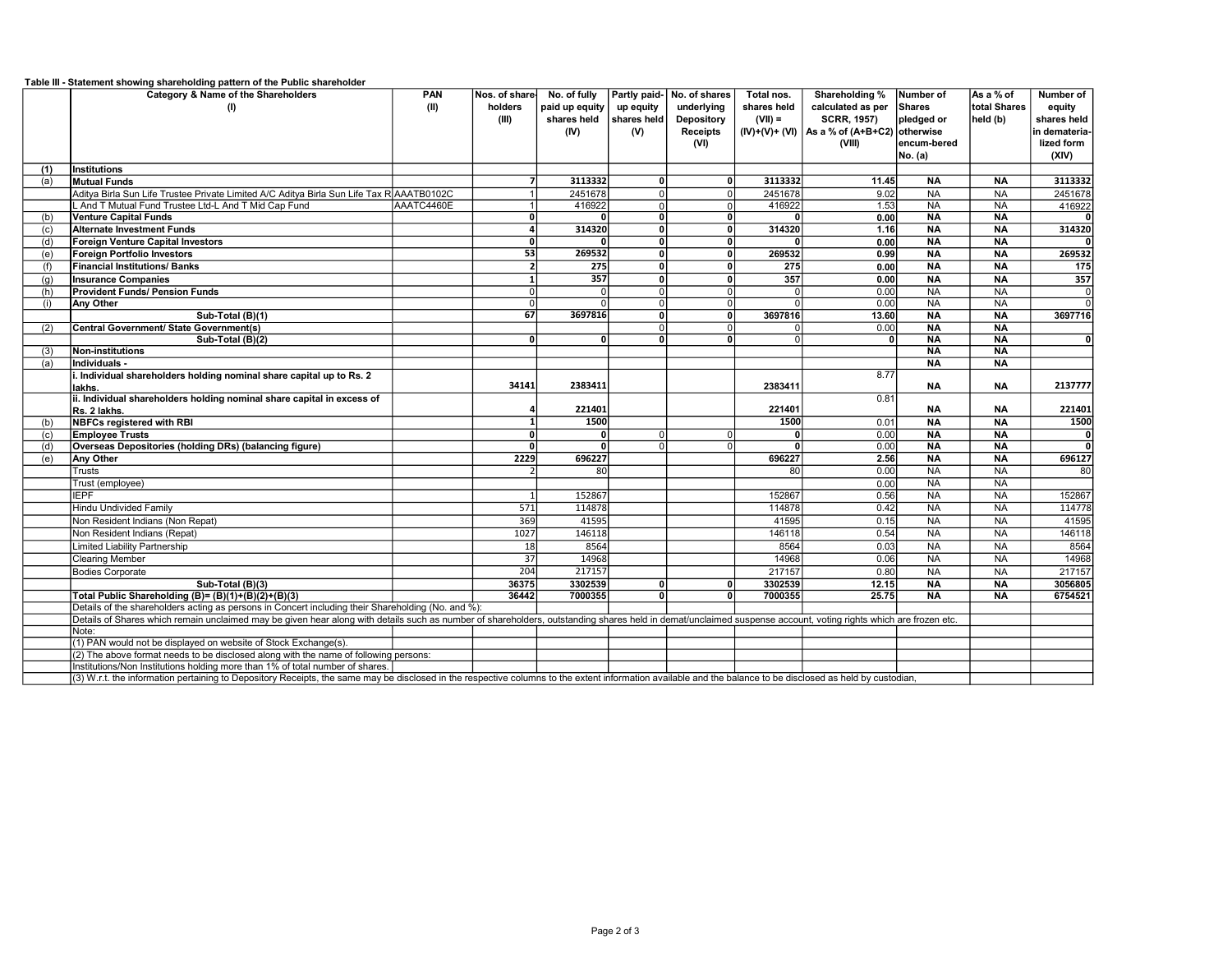|     | Table III - Statement showing shareholding pattern of the Public shareholder                                                                                                                                   |            |                          |                  |                         |                            |                |                                                 |              |                 |                  |
|-----|----------------------------------------------------------------------------------------------------------------------------------------------------------------------------------------------------------------|------------|--------------------------|------------------|-------------------------|----------------------------|----------------|-------------------------------------------------|--------------|-----------------|------------------|
|     | Category & Name of the Shareholders                                                                                                                                                                            | <b>PAN</b> | Nos. of share            | No. of fully     |                         | Partly paid- No. of shares | Total nos.     | Shareholding %                                  | Number of    | As a % of       | Number of        |
|     | (1)                                                                                                                                                                                                            | (II)       | holders                  | paid up equity   | up equity               | underlying                 | shares held    | calculated as per                               | Shares       | total Shares    | equity           |
|     |                                                                                                                                                                                                                |            | (III)                    | shares held      | shares held             | Depository                 | $(VII) =$      | <b>SCRR, 1957)</b>                              | pledged or   | held (b)        | shares held      |
|     |                                                                                                                                                                                                                |            |                          | (IV)             | (V)                     | <b>Receipts</b>            |                | $(IV)+(V)+(V)$   As a % of $(A+B+C2)$ otherwise |              |                 | in demateria-    |
|     |                                                                                                                                                                                                                |            |                          |                  |                         | (VI)                       |                | (VIII)                                          | lencum-bered |                 | lized form       |
|     |                                                                                                                                                                                                                |            |                          |                  |                         |                            |                |                                                 | No. (a)      |                 | (XIV)            |
| (1) | <b>Institutions</b>                                                                                                                                                                                            |            |                          |                  |                         |                            |                |                                                 |              |                 |                  |
| (a) | <b>Mutual Funds</b>                                                                                                                                                                                            |            | $\overline{7}$           | 3113332          | 0                       | οl                         | 3113332        | 11.45                                           | <b>NA</b>    | <b>NA</b>       | 3113332          |
|     | Aditya Birla Sun Life Trustee Private Limited A/C Aditya Birla Sun Life Tax R AAATB0102C                                                                                                                       |            |                          | 2451678          | $\overline{0}$          | 0                          | 2451678        | 9.02                                            | NA           | <b>NA</b>       | 2451678          |
|     | L And T Mutual Fund Trustee Ltd-L And T Mid Cap Fund                                                                                                                                                           | AAATC4460E |                          | 416922           | $\mathsf 0$             | 0l                         | 416922         | 1.53                                            | $N_A$        | $\overline{NA}$ | 416922           |
| (b) | <b>Venture Capital Funds</b>                                                                                                                                                                                   |            | $\overline{0}$           |                  | $\overline{0}$          | οl                         | $\Omega$       | 0.00                                            | <b>NA</b>    | <b>NA</b>       |                  |
| (c) | <b>Alternate Investment Funds</b>                                                                                                                                                                              |            | $\overline{4}$           | 314320           | $\mathbf 0$             | οl                         | 314320         | 1.16                                            | <b>NA</b>    | <b>NA</b>       | 314320           |
| (d) | <b>Foreign Venture Capital Investors</b>                                                                                                                                                                       |            | $\overline{0}$           |                  | $\overline{\mathbf{0}}$ | οl                         |                | 0.00                                            | $N_A$        | <b>NA</b>       |                  |
| (e) | <b>Foreign Portfolio Investors</b>                                                                                                                                                                             |            | 53                       | 269532           | $\mathbf 0$             | οl                         | 269532         | 0.99                                            | <b>NA</b>    | <b>NA</b>       | 269532           |
| (f) | <b>Financial Institutions/ Banks</b>                                                                                                                                                                           |            | $\overline{\phantom{a}}$ | 275              | $\overline{0}$          | 0l                         | 275            | 0.00                                            | <b>NA</b>    | <b>NA</b>       | 175              |
| (q) | <b>Insurance Companies</b>                                                                                                                                                                                     |            | $\mathbf{1}$             | $\overline{357}$ | $\mathbf 0$             | οl                         | 357            | 0.00                                            | $N_A$        | $N_A$           | $\overline{357}$ |
| (h) | <b>Provident Funds/ Pension Funds</b>                                                                                                                                                                          |            | $\Omega$                 | $\Omega$         | $\mathbf 0$             | 0                          | $\Omega$       | 0.00                                            | $N_A$        | $N_A$           | $\mathbf 0$      |
| (i) | <b>Any Other</b>                                                                                                                                                                                               |            | $\Omega$                 | $\Omega$         | $\mathbf 0$             | 0l                         | $\Omega$       | 0.00                                            | $N_A$        | $N_A$           | $\overline{0}$   |
|     | Sub-Total (B)(1)                                                                                                                                                                                               |            | 67                       | 3697816          | $\overline{0}$          | ٥l                         | 3697816        | 13.60                                           | <b>NA</b>    | <b>NA</b>       | 3697716          |
| (2) | Central Government/ State Government(s)                                                                                                                                                                        |            |                          |                  | $\mathbf 0$             | 0                          | $\Omega$       | 0.00                                            | $N_A$        | $\overline{NA}$ |                  |
|     | Sub-Total (B)(2)                                                                                                                                                                                               |            | $\mathbf{0}$             | $\mathbf{0}$     | 0                       | ΩI                         | $\overline{0}$ | 0                                               | <b>NA</b>    | <b>NA</b>       | $\overline{0}$   |
| (3) | <b>Non-institutions</b>                                                                                                                                                                                        |            |                          |                  |                         |                            |                |                                                 | <b>NA</b>    | <b>NA</b>       |                  |
| (a) | Individuals -                                                                                                                                                                                                  |            |                          |                  |                         |                            |                |                                                 | $N_A$        | $N_A$           |                  |
|     | i. Individual shareholders holding nominal share capital up to Rs. 2                                                                                                                                           |            |                          |                  |                         |                            |                | 8.77                                            |              |                 |                  |
|     | lakhs.                                                                                                                                                                                                         |            | 34141                    | 2383411          |                         |                            | 2383411        |                                                 | <b>NA</b>    | <b>NA</b>       | 2137777          |
|     | ii. Individual shareholders holding nominal share capital in excess of                                                                                                                                         |            |                          |                  |                         |                            |                | 0.81                                            |              |                 |                  |
|     | Rs. 2 lakhs.                                                                                                                                                                                                   |            |                          | 221401           |                         |                            | 221401         |                                                 | <b>NA</b>    | <b>NA</b>       | 221401           |
| (b) | <b>NBFCs registered with RBI</b>                                                                                                                                                                               |            |                          | 1500             |                         |                            | 1500           | 0.01                                            | <b>NA</b>    | <b>NA</b>       | 1500             |
| (c) | <b>Employee Trusts</b>                                                                                                                                                                                         |            | $\Omega$                 | $\Omega$         | $\Omega$                | ΩI                         | $\Omega$       | 0.00                                            | <b>NA</b>    | $N_A$           | $\mathbf{0}$     |
| (d) | Overseas Depositories (holding DRs) (balancing figure)                                                                                                                                                         |            | $\Omega$                 | $\overline{0}$   | $\Omega$                | ΩI                         |                | 0.00                                            | <b>NA</b>    | <b>NA</b>       | э                |
| (e) | Any Other                                                                                                                                                                                                      |            | 2229                     | 696227           |                         |                            | 696227         | 2.56                                            | <b>NA</b>    | <b>NA</b>       | 696127           |
|     | Trusts                                                                                                                                                                                                         |            |                          | 80               |                         |                            | 80             | 0.00                                            | <b>NA</b>    | <b>NA</b>       | 80               |
|     | Trust (employee)                                                                                                                                                                                               |            |                          |                  |                         |                            |                | 0.00                                            | <b>NA</b>    | <b>NA</b>       |                  |
|     | <b>IEPF</b>                                                                                                                                                                                                    |            |                          | 152867           |                         |                            | 152867         | 0.56                                            | <b>NA</b>    | <b>NA</b>       | 152867           |
|     | <b>Hindu Undivided Family</b>                                                                                                                                                                                  |            | 571                      | 114878           |                         |                            | 114878         | 0.42                                            | NA           | <b>NA</b>       | 114778           |
|     | Non Resident Indians (Non Repat)                                                                                                                                                                               |            | 369                      | 41595            |                         |                            | 41595          | 0.15                                            | NA           | <b>NA</b>       | 41595            |
|     | Non Resident Indians (Repat)                                                                                                                                                                                   |            | 1027                     | 146118           |                         |                            | 146118         | 0.54                                            | <b>NA</b>    | <b>NA</b>       | 146118           |
|     | Limited Liability Partnership                                                                                                                                                                                  |            | 18                       | 8564             |                         |                            | 8564           | 0.03                                            | <b>NA</b>    | <b>NA</b>       | 8564             |
|     | <b>Clearing Member</b>                                                                                                                                                                                         |            | $\overline{37}$          | 14968            |                         |                            | 14968          | 0.06                                            | <b>NA</b>    | <b>NA</b>       | 14968            |
|     | <b>Bodies Corporate</b>                                                                                                                                                                                        |            | 204                      | 217157           |                         |                            | 217157         | 0.80                                            | <b>NA</b>    | NA              | 217157           |
|     | Sub-Total (B)(3)                                                                                                                                                                                               |            | 36375                    | 3302539          | οl                      | οl                         | 3302539        | 12.15                                           | <b>NA</b>    | <b>NA</b>       | 3056805          |
|     | Total Public Shareholding (B)= (B)(1)+(B)(2)+(B)(3)                                                                                                                                                            |            | 36442                    | 7000355          | $\overline{0}$          | ٥I                         | 7000355        | 25.75                                           | <b>NA</b>    | <b>NA</b>       | 6754521          |
|     | Details of the shareholders acting as persons in Concert including their Shareholding (No. and %):                                                                                                             |            |                          |                  |                         |                            |                |                                                 |              |                 |                  |
|     | Details of Shares which remain unclaimed may be given hear along with details such as number of shareholders, outstanding shares held in demat/unclaimed suspense account, voting rights which are frozen etc. |            |                          |                  |                         |                            |                |                                                 |              |                 |                  |
|     | Note:                                                                                                                                                                                                          |            |                          |                  |                         |                            |                |                                                 |              |                 |                  |
|     | (1) PAN would not be displayed on website of Stock Exchange(s)                                                                                                                                                 |            |                          |                  |                         |                            |                |                                                 |              |                 |                  |
|     | (2) The above format needs to be disclosed along with the name of following persons:                                                                                                                           |            |                          |                  |                         |                            |                |                                                 |              |                 |                  |
|     | Institutions/Non Institutions holding more than 1% of total number of shares.                                                                                                                                  |            |                          |                  |                         |                            |                |                                                 |              |                 |                  |
|     | (3) W.r.t. the information pertaining to Depository Receipts, the same may be disclosed in the respective columns to the extent information available and the balance to be disclosed as held by custodian,    |            |                          |                  |                         |                            |                |                                                 |              |                 |                  |